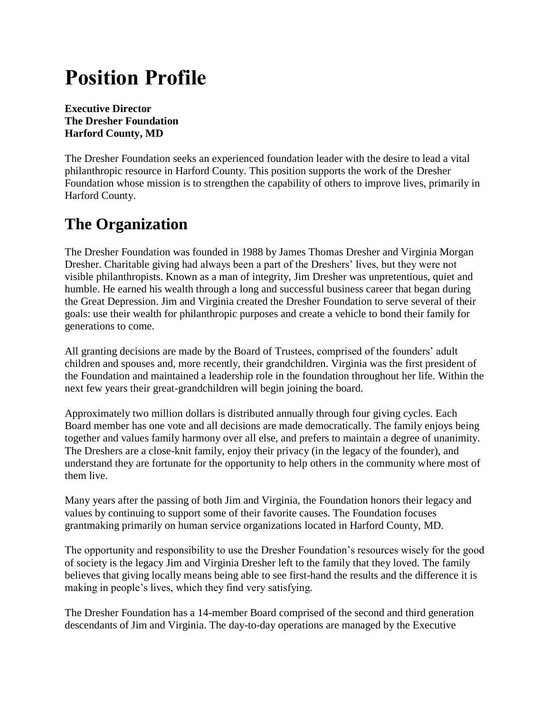# **Position Profile**

**Executive Director The Dresher Foundation Harford County, MD**

The Dresher Foundation seeks an experienced foundation leader with the desire to lead a vital philanthropic resource in Harford County. This position supports the work of the Dresher Foundation whose mission is to strengthen the capability of others to improve lives, primarily in Harford County.

## **The Organization**

The Dresher Foundation was founded in 1988 by James Thomas Dresher and Virginia Morgan Dresher. Charitable giving had always been a part of the Dreshers' lives, but they were not visible philanthropists. Known as a man of integrity, Jim Dresher was unpretentious, quiet and humble. He earned his wealth through a long and successful business career that began during the Great Depression. Jim and Virginia created the Dresher Foundation to serve several of their goals: use their wealth for philanthropic purposes and create a vehicle to bond their family for generations to come.

All granting decisions are made by the Board of Trustees, comprised of the founders' adult children and spouses and, more recently, their grandchildren. Virginia was the first president of the Foundation and maintained a leadership role in the foundation throughout her life. Within the next few years their great-grandchildren will begin joining the board.

Approximately two million dollars is distributed annually through four giving cycles. Each Board member has one vote and all decisions are made democratically. The family enjoys being together and values family harmony over all else, and prefers to maintain a degree of unanimity. The Dreshers are a close-knit family, enjoy their privacy (in the legacy of the founder), and understand they are fortunate for the opportunity to help others in the community where most of them live.

Many years after the passing of both Jim and Virginia, the Foundation honors their legacy and values by continuing to support some of their favorite causes. The Foundation focuses grantmaking primarily on human service organizations located in Harford County, MD.

The opportunity and responsibility to use the Dresher Foundation's resources wisely for the good of society is the legacy Jim and Virginia Dresher left to the family that they loved. The family believes that giving locally means being able to see first-hand the results and the difference it is making in people's lives, which they find very satisfying.

The Dresher Foundation has a 14-member Board comprised of the second and third generation descendants of Jim and Virginia. The day-to-day operations are managed by the Executive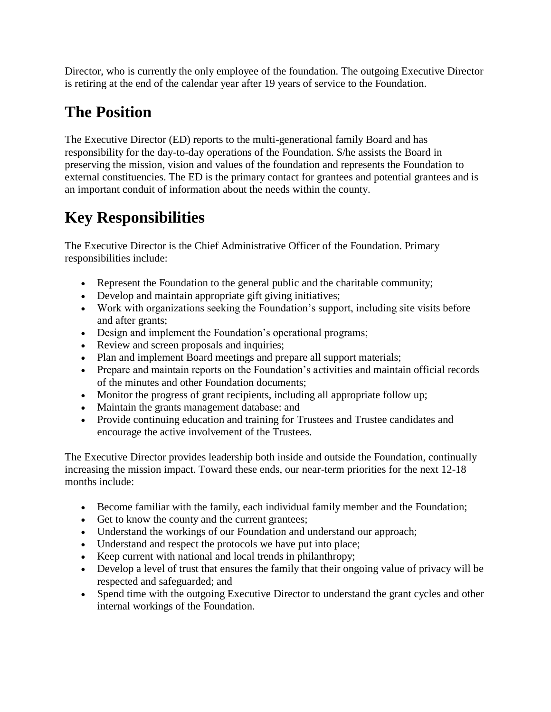Director, who is currently the only employee of the foundation. The outgoing Executive Director is retiring at the end of the calendar year after 19 years of service to the Foundation.

# **The Position**

The Executive Director (ED) reports to the multi-generational family Board and has responsibility for the day-to-day operations of the Foundation. S/he assists the Board in preserving the mission, vision and values of the foundation and represents the Foundation to external constituencies. The ED is the primary contact for grantees and potential grantees and is an important conduit of information about the needs within the county.

# **Key Responsibilities**

The Executive Director is the Chief Administrative Officer of the Foundation. Primary responsibilities include:

- Represent the Foundation to the general public and the charitable community;
- Develop and maintain appropriate gift giving initiatives;
- Work with organizations seeking the Foundation's support, including site visits before and after grants;
- Design and implement the Foundation's operational programs;
- Review and screen proposals and inquiries;
- Plan and implement Board meetings and prepare all support materials;
- Prepare and maintain reports on the Foundation's activities and maintain official records of the minutes and other Foundation documents;
- Monitor the progress of grant recipients, including all appropriate follow up;
- Maintain the grants management database: and
- Provide continuing education and training for Trustees and Trustee candidates and encourage the active involvement of the Trustees.

The Executive Director provides leadership both inside and outside the Foundation, continually increasing the mission impact. Toward these ends, our near-term priorities for the next 12-18 months include:

- Become familiar with the family, each individual family member and the Foundation;
- Get to know the county and the current grantees;
- Understand the workings of our Foundation and understand our approach;
- Understand and respect the protocols we have put into place;
- Keep current with national and local trends in philanthropy;
- Develop a level of trust that ensures the family that their ongoing value of privacy will be respected and safeguarded; and
- Spend time with the outgoing Executive Director to understand the grant cycles and other internal workings of the Foundation.